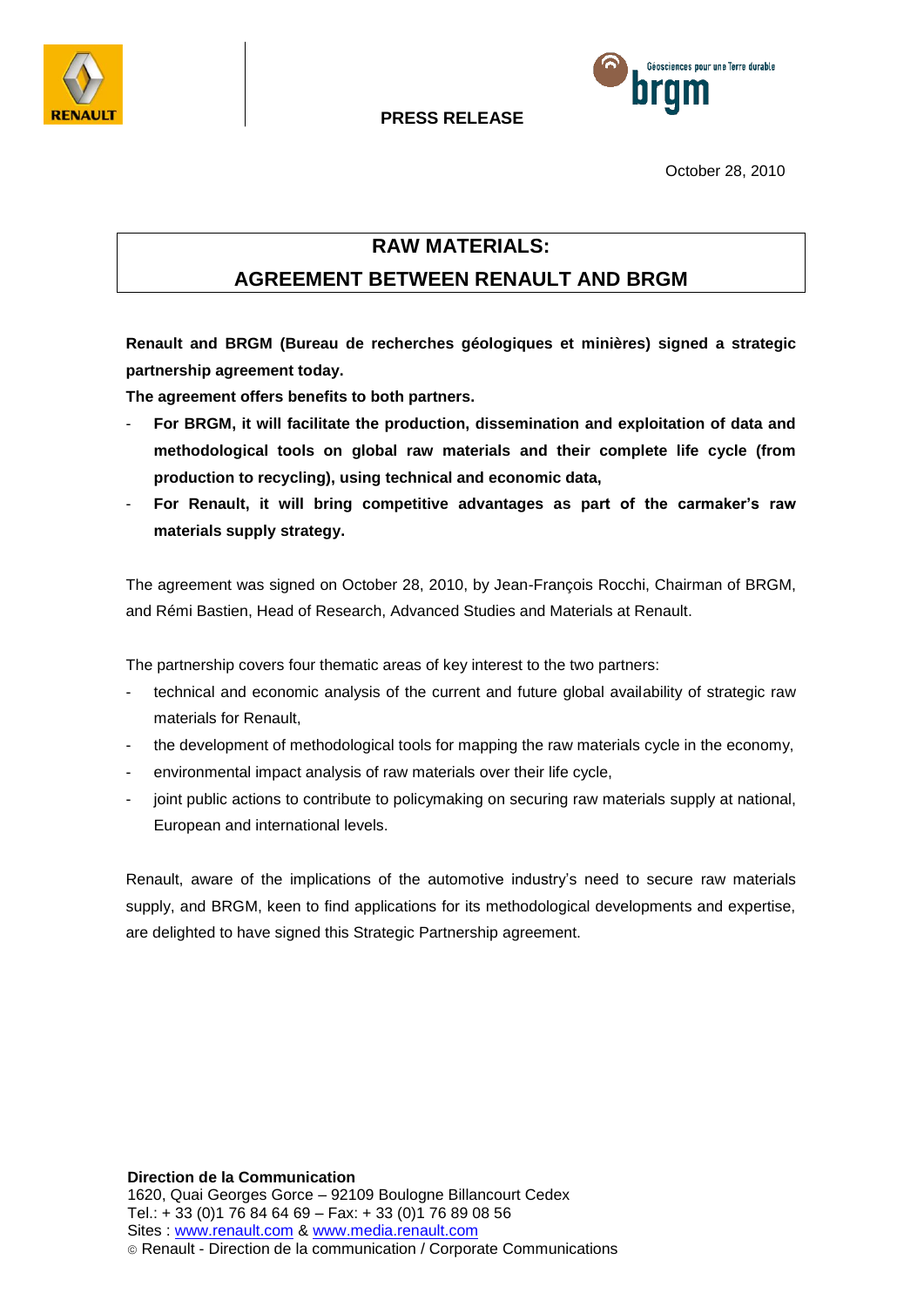



**PRESS RELEASE** 

October 28, 2010

## **RAW MATERIALS:**

# **AGREEMENT BETWEEN RENAULT AND BRGM**

**Renault and BRGM (Bureau de recherches géologiques et minières) signed a strategic partnership agreement today.**

**The agreement offers benefits to both partners.**

- **For BRGM, it will facilitate the production, dissemination and exploitation of data and methodological tools on global raw materials and their complete life cycle (from production to recycling), using technical and economic data,**
- **For Renault, it will bring competitive advantages as part of the carmaker's raw materials supply strategy.**

The agreement was signed on October 28, 2010, by Jean-François Rocchi, Chairman of BRGM, and Rémi Bastien, Head of Research, Advanced Studies and Materials at Renault.

The partnership covers four thematic areas of key interest to the two partners:

- technical and economic analysis of the current and future global availability of strategic raw materials for Renault,
- the development of methodological tools for mapping the raw materials cycle in the economy,
- environmental impact analysis of raw materials over their life cycle,
- joint public actions to contribute to policymaking on securing raw materials supply at national, European and international levels.

Renault, aware of the implications of the automotive industry's need to secure raw materials supply, and BRGM, keen to find applications for its methodological developments and expertise, are delighted to have signed this Strategic Partnership agreement.